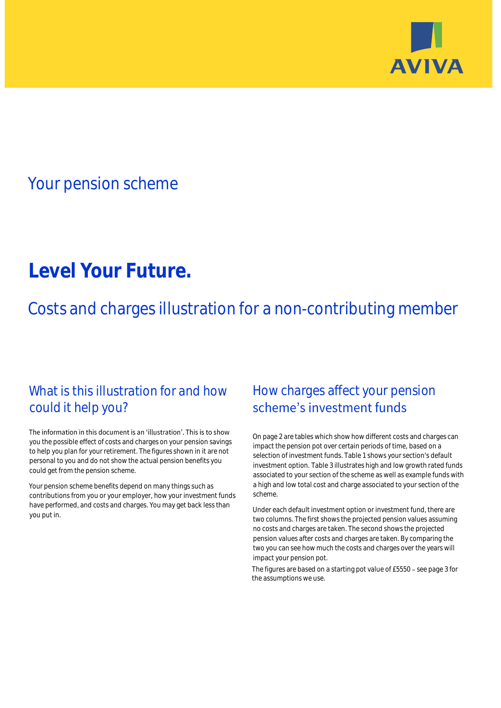

# Your pension scheme

# **Level Your Future.**

Costs and charges illustration for a non-contributing member

# What is this illustration for and how could it help you?

#### The information in this document is an 'illustration'. This is to show you the possible effect of costs and charges on your pension savings to help you plan for your retirement. The figures shown in it are not personal to you and do not show the actual pension benefits you could get from the pension scheme.

Your pension scheme benefits depend on many things such as contributions from you or your employer, how your investment funds have performed, and costs and charges. You may get back less than you put in.

# How charges affect your pension scheme's investment funds

On page 2 are tables which show how different costs and charges can impact the pension pot over certain periods of time, based on a selection of investment funds. Table 1 shows your section's default investment option. Table 3 illustrates high and low growth rated funds associated to your section of the scheme as well as example funds with a high and low total cost and charge associated to your section of the scheme.

Under each default investment option or investment fund, there are two columns. The first shows the projected pension values assuming no costs and charges are taken. The second shows the projected pension values after costs and charges are taken. By comparing the two you can see how much the costs and charges over the years will impact your pension pot.

The figures are based on a starting pot value of £5550 - see page 3 for the assumptions we use.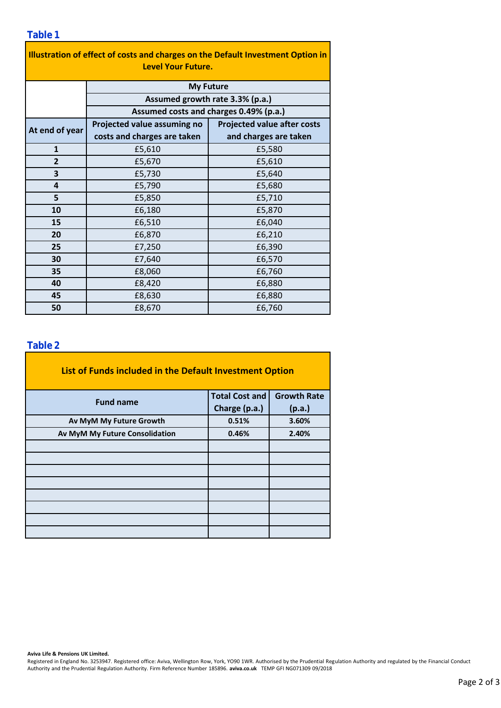### **Table 1**

| Illustration of effect of costs and charges on the Default Investment Option in<br><b>Level Your Future.</b> |                                        |                                    |  |  |  |  |  |  |
|--------------------------------------------------------------------------------------------------------------|----------------------------------------|------------------------------------|--|--|--|--|--|--|
|                                                                                                              | <b>My Future</b>                       |                                    |  |  |  |  |  |  |
|                                                                                                              | Assumed growth rate 3.3% (p.a.)        |                                    |  |  |  |  |  |  |
|                                                                                                              | Assumed costs and charges 0.49% (p.a.) |                                    |  |  |  |  |  |  |
| At end of year                                                                                               | Projected value assuming no            | <b>Projected value after costs</b> |  |  |  |  |  |  |
|                                                                                                              | costs and charges are taken            | and charges are taken              |  |  |  |  |  |  |
| $\mathbf{1}$                                                                                                 | £5,610                                 | £5,580                             |  |  |  |  |  |  |
| $\overline{2}$                                                                                               | £5,670                                 | £5,610                             |  |  |  |  |  |  |
| 3                                                                                                            | £5,730                                 | £5,640                             |  |  |  |  |  |  |
| 4                                                                                                            | £5,790                                 | £5,680                             |  |  |  |  |  |  |
| 5                                                                                                            | £5,850                                 | £5,710                             |  |  |  |  |  |  |
| 10                                                                                                           | £6,180                                 | £5,870                             |  |  |  |  |  |  |
| 15                                                                                                           | £6,510                                 | £6,040                             |  |  |  |  |  |  |
| 20                                                                                                           | £6,870                                 | £6,210                             |  |  |  |  |  |  |
| 25                                                                                                           | £7,250                                 | £6,390                             |  |  |  |  |  |  |
| 30                                                                                                           | £7,640                                 | £6,570                             |  |  |  |  |  |  |
| 35                                                                                                           | £8,060                                 | £6,760                             |  |  |  |  |  |  |
| 40                                                                                                           | £8,420                                 | £6,880                             |  |  |  |  |  |  |
| 45                                                                                                           | £8,630                                 | £6,880                             |  |  |  |  |  |  |
| 50                                                                                                           | £8,670                                 | £6,760                             |  |  |  |  |  |  |

### **Table 2**

| List of Funds included in the Default Investment Option |                       |                    |  |  |  |  |  |  |
|---------------------------------------------------------|-----------------------|--------------------|--|--|--|--|--|--|
| <b>Fund name</b>                                        | <b>Total Cost and</b> | <b>Growth Rate</b> |  |  |  |  |  |  |
|                                                         | Charge (p.a.)         | (p.a.)             |  |  |  |  |  |  |
| Av MyM My Future Growth                                 | 0.51%                 | 3.60%              |  |  |  |  |  |  |
| Av MyM My Future Consolidation                          | 0.46%                 | 2.40%              |  |  |  |  |  |  |
|                                                         |                       |                    |  |  |  |  |  |  |
|                                                         |                       |                    |  |  |  |  |  |  |
|                                                         |                       |                    |  |  |  |  |  |  |
|                                                         |                       |                    |  |  |  |  |  |  |
|                                                         |                       |                    |  |  |  |  |  |  |
|                                                         |                       |                    |  |  |  |  |  |  |
|                                                         |                       |                    |  |  |  |  |  |  |
|                                                         |                       |                    |  |  |  |  |  |  |

**Aviva Life & Pensions UK Limited.**

Registered in England No. 3253947. Registered office: Aviva, Wellington Row, York, YO90 1WR. Authorised by the Prudential Regulation Authority and regulated by the Financial Conduct Authority and the Prudential Regulation Authority. Firm Reference Number 185896. **aviva.co.uk** TEMP GFI NG071309 09/2018